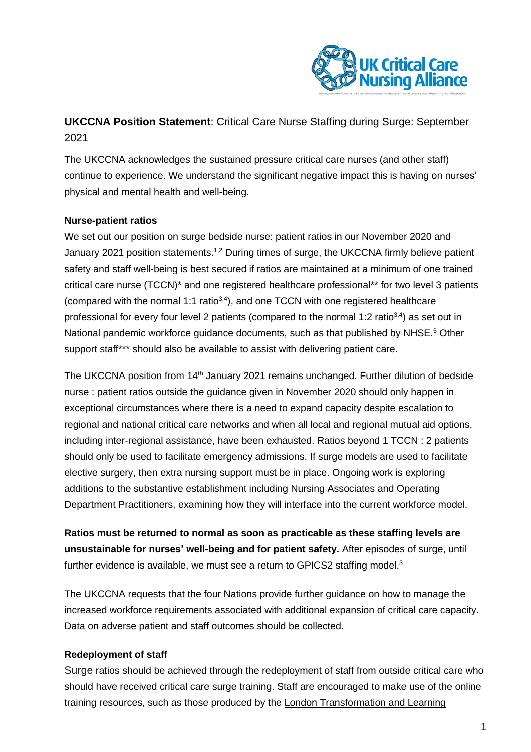

**UKCCNA Position Statement**: Critical Care Nurse Staffing during Surge: September 2021

The UKCCNA acknowledges the sustained pressure critical care nurses (and other staff) continue to experience. We understand the significant negative impact this is having on nurses' physical and mental health and well-being.

## **Nurse-patient ratios**

We set out our position on surge bedside nurse: patient ratios in our November 2020 and January 2021 position statements.<sup>1,2</sup> During times of surge, the UKCCNA firmly believe patient safety and staff well-being is best secured if ratios are maintained at a minimum of one trained critical care nurse (TCCN)\* and one registered healthcare professional\*\* for two level 3 patients (compared with the normal 1:1 ratio $3,4$ ), and one TCCN with one registered healthcare professional for every four level 2 patients (compared to the normal 1:2 ratio $3,4$ ) as set out in National pandemic workforce guidance documents, such as that published by NHSE.<sup>5</sup> Other support staff\*\*\* should also be available to assist with delivering patient care.

The UKCCNA position from 14<sup>th</sup> January 2021 remains unchanged. Further dilution of bedside nurse : patient ratios outside the guidance given in November 2020 should only happen in exceptional circumstances where there is a need to expand capacity despite escalation to regional and national critical care networks and when all local and regional mutual aid options, including inter-regional assistance, have been exhausted. Ratios beyond 1 TCCN : 2 patients should only be used to facilitate emergency admissions. If surge models are used to facilitate elective surgery, then extra nursing support must be in place. Ongoing work is exploring additions to the substantive establishment including Nursing Associates and Operating Department Practitioners, examining how they will interface into the current workforce model.

**Ratios must be returned to normal as soon as practicable as these staffing levels are unsustainable for nurses' well-being and for patient safety.** After episodes of surge, until further evidence is available, we must see a return to GPICS2 staffing model.<sup>3</sup>

The UKCCNA requests that the four Nations provide further guidance on how to manage the increased workforce requirements associated with additional expansion of critical care capacity. Data on adverse patient and staff outcomes should be collected.

## **Redeployment of staff**

Surge ratios should be achieved through the redeployment of staff from outside critical care who should have received critical care surge training. Staff are encouraged to make use of the online training resources, such as those produced by the London [Transformation](https://www.e-lfh.org.uk/programmes/london-transformation-and-learning-collaborative-ltlc/) and Learning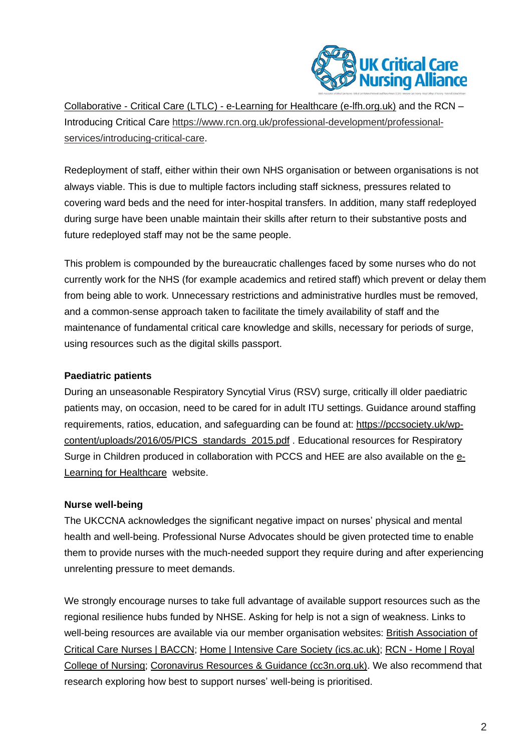

[Collaborative](https://www.e-lfh.org.uk/programmes/london-transformation-and-learning-collaborative-ltlc/) - Critical Care (LTLC) - e-Learning for Healthcare (e-lfh.org.uk) and the RCN – Introducing Critical Care [https://www.rcn.org.uk/professional-development/professional](https://www.rcn.org.uk/professional-development/professional-services/introducing-critical-care)[services/introducing-critical-care.](https://www.rcn.org.uk/professional-development/professional-services/introducing-critical-care)

Redeployment of staff, either within their own NHS organisation or between organisations is not always viable. This is due to multiple factors including staff sickness, pressures related to covering ward beds and the need for inter-hospital transfers. In addition, many staff redeployed during surge have been unable maintain their skills after return to their substantive posts and future redeployed staff may not be the same people.

This problem is compounded by the bureaucratic challenges faced by some nurses who do not currently work for the NHS (for example academics and retired staff) which prevent or delay them from being able to work. Unnecessary restrictions and administrative hurdles must be removed, and a common-sense approach taken to facilitate the timely availability of staff and the maintenance of fundamental critical care knowledge and skills, necessary for periods of surge, using resources such as the digital skills passport.

## **Paediatric patients**

During an unseasonable Respiratory Syncytial Virus (RSV) surge, critically ill older paediatric patients may, on occasion, need to be cared for in adult ITU settings. Guidance around staffing requirements, ratios, education, and safeguarding can be found at: [https://pccsociety.uk/wp](https://pccsociety.uk/wp-content/uploads/2016/05/PICS_standards_2015.pdf)[content/uploads/2016/05/PICS\\_standards\\_2015.pdf](https://pccsociety.uk/wp-content/uploads/2016/05/PICS_standards_2015.pdf) . Educational resources for Respiratory Surge in Children produced in collaboration with PCCS and HEE are also available on the [e-](https://www.e-lfh.org.uk/programmes/london-transformation-and-learning-collaborative-ltlc/)Learning for [Healthcare](https://www.e-lfh.org.uk/programmes/london-transformation-and-learning-collaborative-ltlc/) website.

# **Nurse well-being**

The UKCCNA acknowledges the significant negative impact on nurses' physical and mental health and well-being. Professional Nurse Advocates should be given protected time to enable them to provide nurses with the much-needed support they require during and after experiencing unrelenting pressure to meet demands.

We strongly encourage nurses to take full advantage of available support resources such as the regional resilience hubs funded by NHSE. Asking for help is not a sign of weakness. Links to well-being resources are available via our member organisation websites: British [Association](https://www.baccn.org/) of Critical Care Nurses | [BACCN;](https://www.baccn.org/) Home | Intensive Care Society [\(ics.ac.uk\);](https://ics.ac.uk/) RCN - [Home](https://www.rcn.org.uk/) | Royal College of [Nursing;](https://www.rcn.org.uk/) Coronavirus Resources & Guidance [\(cc3n.org.uk\).](https://www.cc3n.org.uk/coronavirus-resources--guidance.html) We also recommend that research exploring how best to support nurses' well-being is prioritised.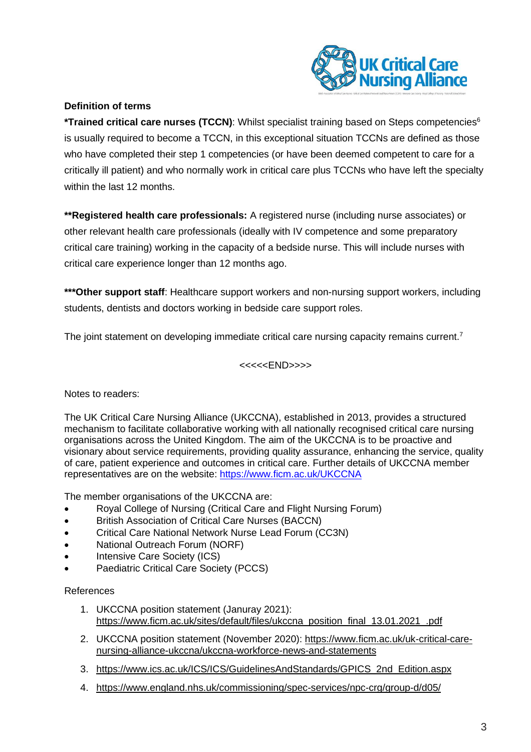

# **Definition of terms**

**\*Trained critical care nurses (TCCN)**: Whilst specialist training based on Steps competencies<sup>6</sup> is usually required to become a TCCN, in this exceptional situation TCCNs are defined as those who have completed their step 1 competencies (or have been deemed competent to care for a critically ill patient) and who normally work in critical care plus TCCNs who have left the specialty within the last 12 months.

**\*\*Registered health care professionals:** A registered nurse (including nurse associates) or other relevant health care professionals (ideally with IV competence and some preparatory critical care training) working in the capacity of a bedside nurse. This will include nurses with critical care experience longer than 12 months ago.

**\*\*\*Other support staff**: Healthcare support workers and non-nursing support workers, including students, dentists and doctors working in bedside care support roles.

The joint statement on developing immediate critical care nursing capacity remains current.<sup>7</sup>

<<<<<END>>>>

## Notes to readers:

The UK Critical Care Nursing Alliance (UKCCNA), established in 2013, provides a structured mechanism to facilitate collaborative working with all nationally recognised critical care nursing organisations across the United Kingdom. The aim of the UKCCNA is to be proactive and visionary about service requirements, providing quality assurance, enhancing the service, quality of care, patient experience and outcomes in critical care. Further details of UKCCNA member representatives are on the website: <https://www.ficm.ac.uk/UKCCNA>

The member organisations of the UKCCNA are:

- Royal College of Nursing (Critical Care and Flight Nursing Forum)
- British Association of Critical Care Nurses (BACCN)
- Critical Care National Network Nurse Lead Forum (CC3N)
- National Outreach Forum (NORF)
- Intensive Care Society (ICS)
- Paediatric Critical Care Society (PCCS)

## References

- 1. UKCCNA position statement (Januray 2021): [https://www.ficm.ac.uk/sites/default/files/ukccna\\_position\\_final\\_13.01.2021\\_.pdf](https://www.ficm.ac.uk/sites/default/files/ukccna_position_final_13.01.2021_.pdf)
- 2. UKCCNA position statement (November 2020): [https://www.ficm.ac.uk/uk-critical-care](https://www.ficm.ac.uk/uk-critical-care-nursing-alliance-ukccna/ukccna-workforce-news-and-statements)[nursing-alliance-ukccna/ukccna-workforce-news-and-statements](https://www.ficm.ac.uk/uk-critical-care-nursing-alliance-ukccna/ukccna-workforce-news-and-statements)
- 3. [https://www.ics.ac.uk/ICS/ICS/GuidelinesAndStandards/GPICS\\_2nd\\_Edition.aspx](https://www.ics.ac.uk/ICS/ICS/GuidelinesAndStandards/GPICS_2nd_Edition.aspx)
- 4. <https://www.england.nhs.uk/commissioning/spec-services/npc-crg/group-d/d05/>